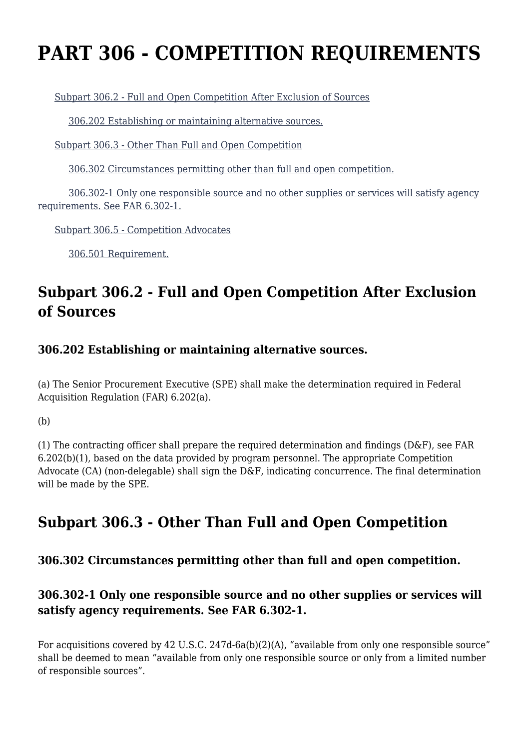# **PART 306 - COMPETITION REQUIREMENTS**

[Subpart 306.2 - Full and Open Competition After Exclusion of Sources](https://origin-www.acquisition.gov/%5Brp:link:hhsar-part-306%5D#Subpart_306_2_T48_401271)

[306.202 Establishing or maintaining alternative sources.](https://origin-www.acquisition.gov/%5Brp:link:hhsar-part-306%5D#Section_306_202_T48_40127111)

[Subpart 306.3 - Other Than Full and Open Competition](https://origin-www.acquisition.gov/%5Brp:link:hhsar-part-306%5D#Subpart_306_3_T48_401272)

[306.302 Circumstances permitting other than full and open competition.](https://origin-www.acquisition.gov/%5Brp:link:hhsar-part-306%5D#Section_306_302_T48_40127211)

 [306.302-1 Only one responsible source and no other supplies or services will satisfy agency](https://origin-www.acquisition.gov/%5Brp:link:hhsar-part-306%5D#Section_306_302_1_T48_40127212) [requirements. See FAR 6.302-1.](https://origin-www.acquisition.gov/%5Brp:link:hhsar-part-306%5D#Section_306_302_1_T48_40127212)

[Subpart 306.5 - Competition Advocates](https://origin-www.acquisition.gov/%5Brp:link:hhsar-part-306%5D#Subpart_306_5_T48_401273)

[306.501 Requirement.](https://origin-www.acquisition.gov/%5Brp:link:hhsar-part-306%5D#Section_306_501_T48_40127311)

### **Subpart 306.2 - Full and Open Competition After Exclusion of Sources**

#### **306.202 Establishing or maintaining alternative sources.**

(a) The Senior Procurement Executive (SPE) shall make the determination required in Federal Acquisition Regulation (FAR) 6.202(a).

(b)

(1) The contracting officer shall prepare the required determination and findings (D&F), see FAR 6.202(b)(1), based on the data provided by program personnel. The appropriate Competition Advocate (CA) (non-delegable) shall sign the D&F, indicating concurrence. The final determination will be made by the SPE.

## **Subpart 306.3 - Other Than Full and Open Competition**

#### **306.302 Circumstances permitting other than full and open competition.**

#### **306.302-1 Only one responsible source and no other supplies or services will satisfy agency requirements. See FAR 6.302-1.**

For acquisitions covered by 42 U.S.C. 247d-6a(b)(2)(A), "available from only one responsible source" shall be deemed to mean "available from only one responsible source or only from a limited number of responsible sources".